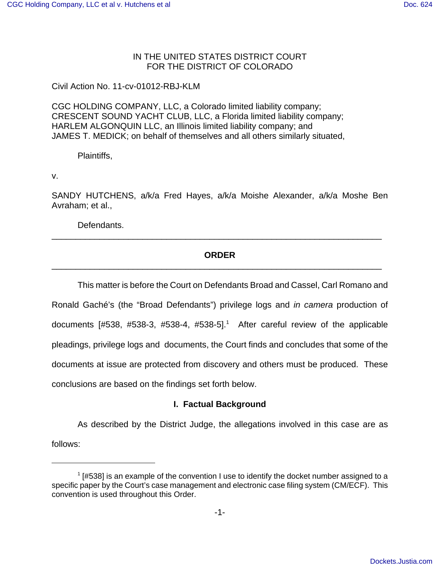## IN THE UNITED STATES DISTRICT COURT FOR THE DISTRICT OF COLORADO

Civil Action No. 11-cv-01012-RBJ-KLM

CGC HOLDING COMPANY, LLC, a Colorado limited liability company; CRESCENT SOUND YACHT CLUB, LLC, a Florida limited liability company; HARLEM ALGONQUIN LLC, an Illinois limited liability company; and JAMES T. MEDICK; on behalf of themselves and all others similarly situated,

Plaintiffs,

v.

SANDY HUTCHENS, a/k/a Fred Hayes, a/k/a Moishe Alexander, a/k/a Moshe Ben Avraham; et al.,

Defendants.

## **ORDER** \_\_\_\_\_\_\_\_\_\_\_\_\_\_\_\_\_\_\_\_\_\_\_\_\_\_\_\_\_\_\_\_\_\_\_\_\_\_\_\_\_\_\_\_\_\_\_\_\_\_\_\_\_\_\_\_\_\_\_\_\_\_\_\_\_\_\_\_\_

\_\_\_\_\_\_\_\_\_\_\_\_\_\_\_\_\_\_\_\_\_\_\_\_\_\_\_\_\_\_\_\_\_\_\_\_\_\_\_\_\_\_\_\_\_\_\_\_\_\_\_\_\_\_\_\_\_\_\_\_\_\_\_\_\_\_\_\_\_

This matter is before the Court on Defendants Broad and Cassel, Carl Romano and Ronald Gaché's (the "Broad Defendants") privilege logs and in camera production of documents [#538, #538-3, #538-4, #538-5].<sup>1</sup> After careful review of the applicable pleadings, privilege logs and documents, the Court finds and concludes that some of the documents at issue are protected from discovery and others must be produced. These conclusions are based on the findings set forth below.

## **I. Factual Background**

As described by the District Judge, the allegations involved in this case are as follows:

 $1$  [#538] is an example of the convention I use to identify the docket number assigned to a specific paper by the Court's case management and electronic case filing system (CM/ECF). This convention is used throughout this Order.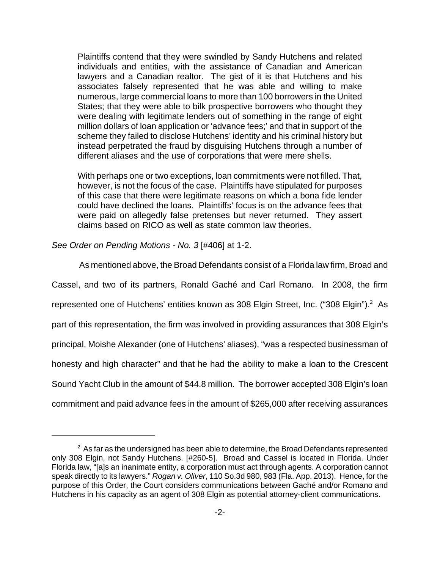Plaintiffs contend that they were swindled by Sandy Hutchens and related individuals and entities, with the assistance of Canadian and American lawyers and a Canadian realtor. The gist of it is that Hutchens and his associates falsely represented that he was able and willing to make numerous, large commercial loans to more than 100 borrowers in the United States; that they were able to bilk prospective borrowers who thought they were dealing with legitimate lenders out of something in the range of eight million dollars of loan application or 'advance fees;' and that in support of the scheme they failed to disclose Hutchens' identity and his criminal history but instead perpetrated the fraud by disguising Hutchens through a number of different aliases and the use of corporations that were mere shells.

With perhaps one or two exceptions, loan commitments were not filled. That, however, is not the focus of the case. Plaintiffs have stipulated for purposes of this case that there were legitimate reasons on which a bona fide lender could have declined the loans. Plaintiffs' focus is on the advance fees that were paid on allegedly false pretenses but never returned. They assert claims based on RICO as well as state common law theories.

See Order on Pending Motions - No. 3 [#406] at 1-2.

 As mentioned above, the Broad Defendants consist of a Florida law firm, Broad and Cassel, and two of its partners, Ronald Gaché and Carl Romano. In 2008, the firm represented one of Hutchens' entities known as 308 Elgin Street, Inc. ("308 Elgin").<sup>2</sup> As part of this representation, the firm was involved in providing assurances that 308 Elgin's principal, Moishe Alexander (one of Hutchens' aliases), "was a respected businessman of honesty and high character" and that he had the ability to make a loan to the Crescent Sound Yacht Club in the amount of \$44.8 million. The borrower accepted 308 Elgin's loan commitment and paid advance fees in the amount of \$265,000 after receiving assurances

 $^{\rm 2}$  As far as the undersigned has been able to determine, the Broad Defendants represented only 308 Elgin, not Sandy Hutchens. [#260-5]. Broad and Cassel is located in Florida. Under Florida law, "[a]s an inanimate entity, a corporation must act through agents. A corporation cannot speak directly to its lawyers." Rogan v. Oliver, 110 So.3d 980, 983 (Fla. App. 2013). Hence, for the purpose of this Order, the Court considers communications between Gaché and/or Romano and Hutchens in his capacity as an agent of 308 Elgin as potential attorney-client communications.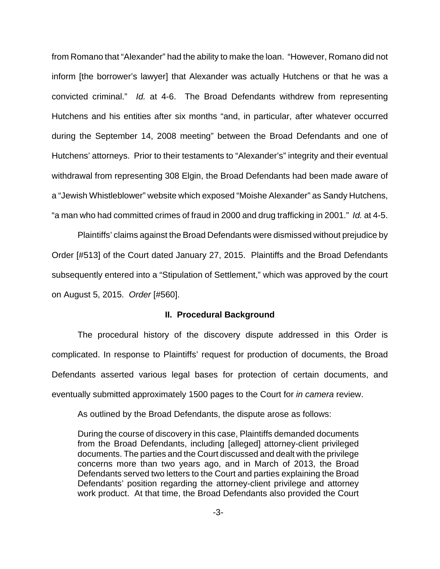from Romano that "Alexander" had the ability to make the loan. "However, Romano did not inform [the borrower's lawyer] that Alexander was actually Hutchens or that he was a convicted criminal." Id. at 4-6. The Broad Defendants withdrew from representing Hutchens and his entities after six months "and, in particular, after whatever occurred during the September 14, 2008 meeting" between the Broad Defendants and one of Hutchens' attorneys. Prior to their testaments to "Alexander's" integrity and their eventual withdrawal from representing 308 Elgin, the Broad Defendants had been made aware of a "Jewish Whistleblower" website which exposed "Moishe Alexander" as Sandy Hutchens, "a man who had committed crimes of fraud in 2000 and drug trafficking in 2001." Id. at 4-5.

Plaintiffs' claims against the Broad Defendants were dismissed without prejudice by Order [#513] of the Court dated January 27, 2015. Plaintiffs and the Broad Defendants subsequently entered into a "Stipulation of Settlement," which was approved by the court on August 5, 2015. Order [#560].

#### **II. Procedural Background**

The procedural history of the discovery dispute addressed in this Order is complicated. In response to Plaintiffs' request for production of documents, the Broad Defendants asserted various legal bases for protection of certain documents, and eventually submitted approximately 1500 pages to the Court for in camera review.

As outlined by the Broad Defendants, the dispute arose as follows:

During the course of discovery in this case, Plaintiffs demanded documents from the Broad Defendants, including [alleged] attorney-client privileged documents. The parties and the Court discussed and dealt with the privilege concerns more than two years ago, and in March of 2013, the Broad Defendants served two letters to the Court and parties explaining the Broad Defendants' position regarding the attorney-client privilege and attorney work product. At that time, the Broad Defendants also provided the Court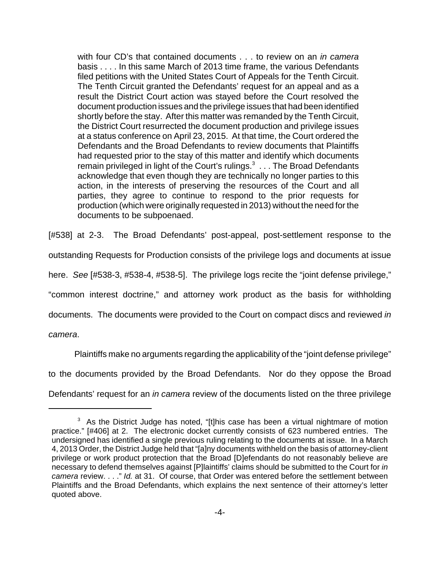with four CD's that contained documents . . . to review on an *in camera* basis . . . . In this same March of 2013 time frame, the various Defendants filed petitions with the United States Court of Appeals for the Tenth Circuit. The Tenth Circuit granted the Defendants' request for an appeal and as a result the District Court action was stayed before the Court resolved the document production issues and the privilege issues that had been identified shortly before the stay. After this matter was remanded by the Tenth Circuit, the District Court resurrected the document production and privilege issues at a status conference on April 23, 2015. At that time, the Court ordered the Defendants and the Broad Defendants to review documents that Plaintiffs had requested prior to the stay of this matter and identify which documents remain privileged in light of the Court's rulings. $3 \ldots$  The Broad Defendants acknowledge that even though they are technically no longer parties to this action, in the interests of preserving the resources of the Court and all parties, they agree to continue to respond to the prior requests for production (which were originally requested in 2013) without the need for the documents to be subpoenaed.

[#538] at 2-3. The Broad Defendants' post-appeal, post-settlement response to the outstanding Requests for Production consists of the privilege logs and documents at issue here. See [#538-3, #538-4, #538-5]. The privilege logs recite the "joint defense privilege," "common interest doctrine," and attorney work product as the basis for withholding documents. The documents were provided to the Court on compact discs and reviewed in camera.

Plaintiffs make no arguments regarding the applicability of the "joint defense privilege" to the documents provided by the Broad Defendants. Nor do they oppose the Broad Defendants' request for an *in camera* review of the documents listed on the three privilege

 $3$  As the District Judge has noted, "[t]his case has been a virtual nightmare of motion practice." [#406] at 2. The electronic docket currently consists of 623 numbered entries. The undersigned has identified a single previous ruling relating to the documents at issue. In a March 4, 2013 Order, the District Judge held that "[a]ny documents withheld on the basis of attorney-client privilege or work product protection that the Broad [D]efendants do not reasonably believe are necessary to defend themselves against [P]laintiffs' claims should be submitted to the Court for in camera review. . . ." Id. at 31. Of course, that Order was entered before the settlement between Plaintiffs and the Broad Defendants, which explains the next sentence of their attorney's letter quoted above.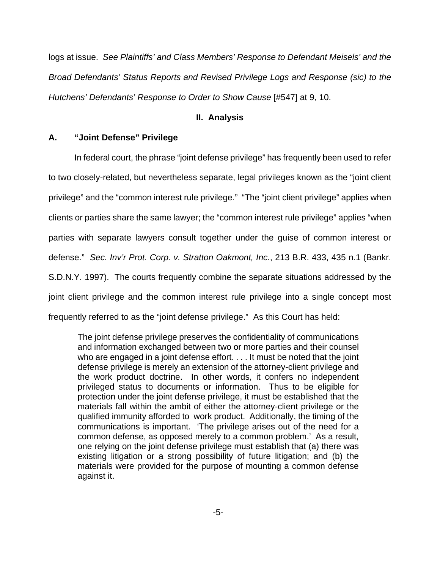logs at issue.See Plaintiffs' and Class Members' Response to Defendant Meisels' and the Broad Defendants' Status Reports and Revised Privilege Logs and Response (sic) to the Hutchens' Defendants' Response to Order to Show Cause [#547] at 9, 10.

### **II. Analysis**

## **A. "Joint Defense" Privilege**

In federal court, the phrase "joint defense privilege" has frequently been used to refer to two closely-related, but nevertheless separate, legal privileges known as the "joint client privilege" and the "common interest rule privilege.""The "joint client privilege" applies when clients or parties share the same lawyer; the "common interest rule privilege" applies "when parties with separate lawyers consult together under the guise of common interest or defense." Sec. Inv'r Prot. Corp. v. Stratton Oakmont, Inc., 213 B.R. 433, 435 n.1 (Bankr. S.D.N.Y. 1997). The courts frequently combine the separate situations addressed by the joint client privilege and the common interest rule privilege into a single concept most frequently referred to as the "joint defense privilege." As this Court has held:

The joint defense privilege preserves the confidentiality of communications and information exchanged between two or more parties and their counsel who are engaged in a joint defense effort. . . . It must be noted that the joint defense privilege is merely an extension of the attorney-client privilege and the work product doctrine. In other words, it confers no independent privileged status to documents or information. Thus to be eligible for protection under the joint defense privilege, it must be established that the materials fall within the ambit of either the attorney-client privilege or the qualified immunity afforded to work product. Additionally, the timing of the communications is important. 'The privilege arises out of the need for a common defense, as opposed merely to a common problem.' As a result, one relying on the joint defense privilege must establish that (a) there was existing litigation or a strong possibility of future litigation; and (b) the materials were provided for the purpose of mounting a common defense against it.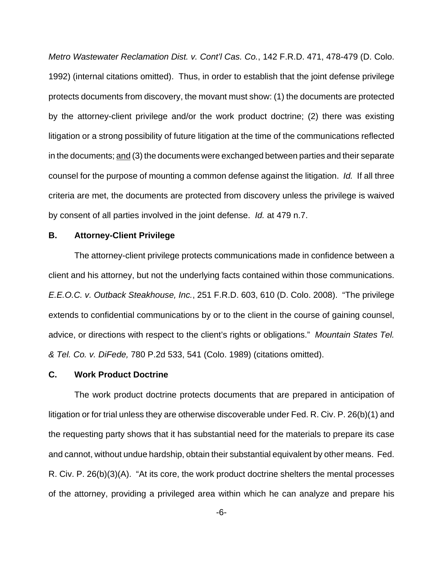Metro Wastewater Reclamation Dist. v. Cont'l Cas. Co., 142 F.R.D. 471, 478-479 (D. Colo. 1992) (internal citations omitted). Thus, in order to establish that the joint defense privilege protects documents from discovery, the movant must show: (1) the documents are protected by the attorney-client privilege and/or the work product doctrine; (2) there was existing litigation or a strong possibility of future litigation at the time of the communications reflected in the documents; and (3) the documents were exchanged between parties and their separate counsel for the purpose of mounting a common defense against the litigation. Id. If all three criteria are met, the documents are protected from discovery unless the privilege is waived by consent of all parties involved in the joint defense. Id. at 479 n.7.

### **B. Attorney-Client Privilege**

The attorney-client privilege protects communications made in confidence between a client and his attorney, but not the underlying facts contained within those communications. E.E.O.C. v. Outback Steakhouse, Inc., 251 F.R.D. 603, 610 (D. Colo. 2008). "The privilege extends to confidential communications by or to the client in the course of gaining counsel, advice, or directions with respect to the client's rights or obligations." Mountain States Tel. & Tel. Co. v. DiFede, 780 P.2d 533, 541 (Colo. 1989) (citations omitted).

#### **C. Work Product Doctrine**

The work product doctrine protects documents that are prepared in anticipation of litigation or for trial unless they are otherwise discoverable under Fed. R. Civ. P. 26(b)(1) and the requesting party shows that it has substantial need for the materials to prepare its case and cannot, without undue hardship, obtain their substantial equivalent by other means. Fed. R. Civ. P. 26(b)(3)(A). "At its core, the work product doctrine shelters the mental processes of the attorney, providing a privileged area within which he can analyze and prepare his

-6-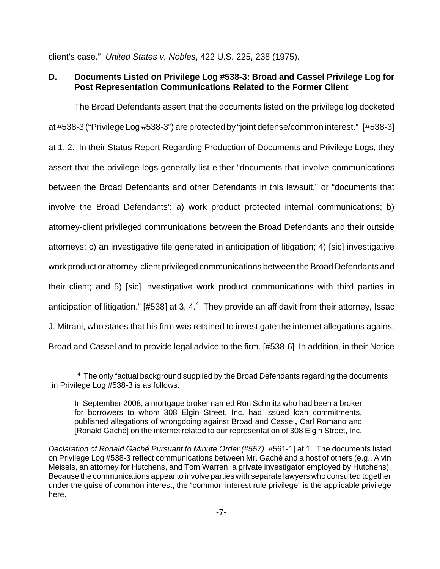client's case." United States v. Nobles, 422 U.S. 225, 238 (1975).

# **D. Documents Listed on Privilege Log #538-3: Broad and Cassel Privilege Log for Post Representation Communications Related to the Former Client**

The Broad Defendants assert that the documents listed on the privilege log docketed at #538-3 ("Privilege Log #538-3") are protected by "joint defense/common interest." [#538-3] at 1, 2.In their Status Report Regarding Production of Documents and Privilege Logs, they assert that the privilege logs generally list either "documents that involve communications between the Broad Defendants and other Defendants in this lawsuit," or "documents that involve the Broad Defendants': a) work product protected internal communications; b) attorney-client privileged communications between the Broad Defendants and their outside attorneys; c) an investigative file generated in anticipation of litigation; 4) [sic] investigative work product or attorney-client privileged communications between the Broad Defendants and their client; and 5) [sic] investigative work product communications with third parties in anticipation of litigation." [#538] at 3, 4. $4$  They provide an affidavit from their attorney, Issac J. Mitrani, who states that his firm was retained to investigate the internet allegations against Broad and Cassel and to provide legal advice to the firm. [#538-6] In addition, in their Notice

<sup>&</sup>lt;sup>4</sup> The only factual background supplied by the Broad Defendants regarding the documents in Privilege Log #538-3 is as follows:

In September 2008, a mortgage broker named Ron Schmitz who had been a broker for borrowers to whom 308 Elgin Street, Inc. had issued loan commitments, published allegations of wrongdoing against Broad and Cassel**,** Carl Romano and [Ronald Gaché] on the internet related to our representation of 308 Elgin Street, Inc.

Declaration of Ronald Gaché Pursuant to Minute Order (#557) [#561-1] at 1. The documents listed on Privilege Log #538-3 reflect communications between Mr. Gaché and a host of others (e.g., Alvin Meisels, an attorney for Hutchens, and Tom Warren, a private investigator employed by Hutchens). Because the communications appear to involve parties with separate lawyers who consulted together under the guise of common interest, the "common interest rule privilege" is the applicable privilege here.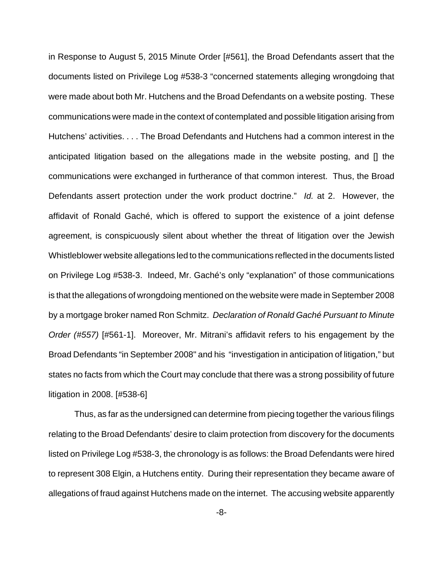in Response to August 5, 2015 Minute Order [#561], the Broad Defendants assert that the documents listed on Privilege Log #538-3 "concerned statements alleging wrongdoing that were made about both Mr. Hutchens and the Broad Defendants on a website posting. These communications were made in the context of contemplated and possible litigation arising from Hutchens' activities. . . . The Broad Defendants and Hutchens had a common interest in the anticipated litigation based on the allegations made in the website posting, and [] the communications were exchanged in furtherance of that common interest. Thus, the Broad Defendants assert protection under the work product doctrine." Id. at 2. However, the affidavit of Ronald Gaché, which is offered to support the existence of a joint defense agreement, is conspicuously silent about whether the threat of litigation over the Jewish Whistleblower website allegations led to the communications reflected in the documents listed on Privilege Log #538-3. Indeed, Mr. Gaché's only "explanation" of those communications is that the allegations of wrongdoing mentioned on the website were made in September 2008 by a mortgage broker named Ron Schmitz. Declaration of Ronald Gaché Pursuant to Minute Order (#557) [#561-1]. Moreover, Mr. Mitrani's affidavit refers to his engagement by the Broad Defendants "in September 2008" and his "investigation in anticipation of litigation," but states no facts from which the Court may conclude that there was a strong possibility of future litigation in 2008. [#538-6]

Thus, as far as the undersigned can determine from piecing together the various filings relating to the Broad Defendants' desire to claim protection from discovery for the documents listed on Privilege Log #538-3, the chronology is as follows: the Broad Defendants were hired to represent 308 Elgin, a Hutchens entity. During their representation they became aware of allegations of fraud against Hutchens made on the internet. The accusing website apparently

-8-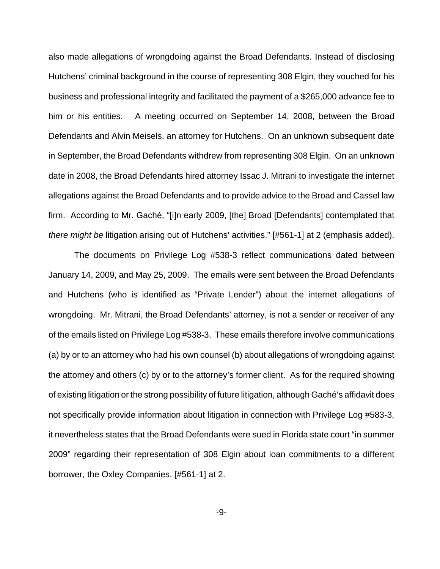also made allegations of wrongdoing against the Broad Defendants. Instead of disclosing Hutchens' criminal background in the course of representing 308 Elgin, they vouched for his business and professional integrity and facilitated the payment of a \$265,000 advance fee to him or his entities. A meeting occurred on September 14, 2008, between the Broad Defendants and Alvin Meisels, an attorney for Hutchens. On an unknown subsequent date in September, the Broad Defendants withdrew from representing 308 Elgin. On an unknown date in 2008, the Broad Defendants hired attorney Issac J. Mitrani to investigate the internet allegations against the Broad Defendants and to provide advice to the Broad and Cassel law firm. According to Mr. Gaché, "[i]n early 2009, [the] Broad [Defendants] contemplated that there might be litigation arising out of Hutchens' activities." [#561-1] at 2 (emphasis added).

The documents on Privilege Log #538-3 reflect communications dated between January 14, 2009, and May 25, 2009. The emails were sent between the Broad Defendants and Hutchens (who is identified as "Private Lender") about the internet allegations of wrongdoing.Mr. Mitrani, the Broad Defendants' attorney, is not a sender or receiver of any of the emails listed on Privilege Log #538-3. These emails therefore involve communications (a) by or to an attorney who had his own counsel (b) about allegations of wrongdoing against the attorney and others (c) by or to the attorney's former client. As for the required showing of existing litigation or the strong possibility of future litigation, although Gaché's affidavit does not specifically provide information about litigation in connection with Privilege Log #583-3, it nevertheless states that the Broad Defendants were sued in Florida state court "in summer 2009" regarding their representation of 308 Elgin about loan commitments to a different borrower, the Oxley Companies. [#561-1] at 2.

-9-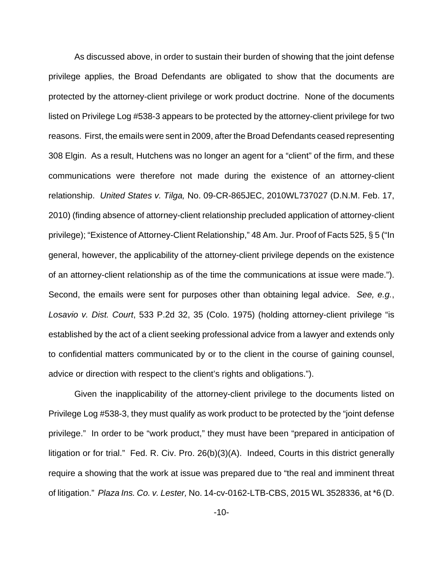As discussed above, in order to sustain their burden of showing that the joint defense privilege applies, the Broad Defendants are obligated to show that the documents are protected by the attorney-client privilege or work product doctrine. None of the documents listed on Privilege Log #538-3 appears to be protected by the attorney-client privilege for two reasons. First, the emails were sent in 2009, after the Broad Defendants ceased representing 308 Elgin. As a result, Hutchens was no longer an agent for a "client" of the firm, and these communications were therefore not made during the existence of an attorney-client relationship. United States v. Tilga, No. 09-CR-865JEC, 2010WL737027 (D.N.M. Feb. 17, 2010) (finding absence of attorney-client relationship precluded application of attorney-client privilege); "Existence of Attorney-Client Relationship," 48 Am. Jur. Proof of Facts 525, § 5 ("In general, however, the applicability of the attorney-client privilege depends on the existence of an attorney-client relationship as of the time the communications at issue were made."). Second, the emails were sent for purposes other than obtaining legal advice. See, e.g., Losavio v. Dist. Court, 533 P.2d 32, 35 (Colo. 1975) (holding attorney-client privilege "is established by the act of a client seeking professional advice from a lawyer and extends only to confidential matters communicated by or to the client in the course of gaining counsel, advice or direction with respect to the client's rights and obligations.").

Given the inapplicability of the attorney-client privilege to the documents listed on Privilege Log #538-3, they must qualify as work product to be protected by the "joint defense privilege." In order to be "work product," they must have been "prepared in anticipation of litigation or for trial." Fed. R. Civ. Pro. 26(b)(3)(A). Indeed, Courts in this district generally require a showing that the work at issue was prepared due to "the real and imminent threat of litigation." Plaza Ins. Co. v. Lester, No. 14-cv-0162-LTB-CBS, 2015 WL 3528336, at \*6 (D.

-10-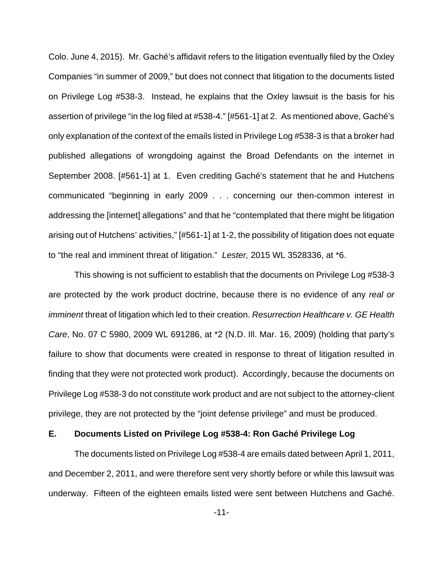Colo. June 4, 2015). Mr. Gaché's affidavit refers to the litigation eventually filed by the Oxley Companies "in summer of 2009," but does not connect that litigation to the documents listed on Privilege Log #538-3. Instead, he explains that the Oxley lawsuit is the basis for his assertion of privilege "in the log filed at #538-4." [#561-1] at 2. As mentioned above, Gaché's only explanation of the context of the emails listed in Privilege Log #538-3 is that a broker had published allegations of wrongdoing against the Broad Defendants on the internet in September 2008. [#561-1] at 1. Even crediting Gaché's statement that he and Hutchens communicated "beginning in early 2009 . . . concerning our then-common interest in addressing the [internet] allegations" and that he "contemplated that there might be litigation arising out of Hutchens' activities," [#561-1] at 1-2, the possibility of litigation does not equate to "the real and imminent threat of litigation." Lester, 2015 WL 3528336, at \*6.

This showing is not sufficient to establish that the documents on Privilege Log #538-3 are protected by the work product doctrine, because there is no evidence of any real or imminent threat of litigation which led to their creation. Resurrection Healthcare v. GE Health Care, No. 07 C 5980, 2009 WL 691286, at \*2 (N.D. Ill. Mar. 16, 2009) (holding that party's failure to show that documents were created in response to threat of litigation resulted in finding that they were not protected work product). Accordingly, because the documents on Privilege Log #538-3 do not constitute work product and are not subject to the attorney-client privilege, they are not protected by the "joint defense privilege" and must be produced.

# **E. Documents Listed on Privilege Log #538-4: Ron Gaché Privilege Log**

The documents listed on Privilege Log #538-4 are emails dated between April 1, 2011, and December 2, 2011, and were therefore sent very shortly before or while this lawsuit was underway. Fifteen of the eighteen emails listed were sent between Hutchens and Gaché.

-11-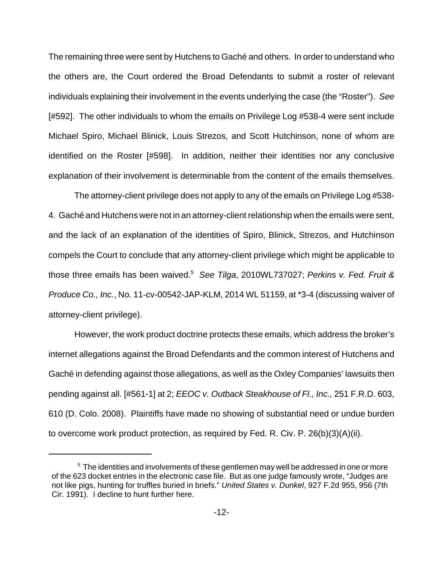The remaining three were sent by Hutchens to Gaché and others. In order to understand who the others are, the Court ordered the Broad Defendants to submit a roster of relevant individuals explaining their involvement in the events underlying the case (the "Roster"). See [#592]. The other individuals to whom the emails on Privilege Log #538-4 were sent include Michael Spiro, Michael Blinick, Louis Strezos, and Scott Hutchinson, none of whom are identified on the Roster [#598]. In addition, neither their identities nor any conclusive explanation of their involvement is determinable from the content of the emails themselves.

The attorney-client privilege does not apply to any of the emails on Privilege Log #538- 4. Gaché and Hutchens were not in an attorney-client relationship when the emails were sent, and the lack of an explanation of the identities of Spiro, Blinick, Strezos, and Hutchinson compels the Court to conclude that any attorney-client privilege which might be applicable to those three emails has been waived.<sup>5</sup> See Tilga, 2010WL737027; Perkins v. Fed. Fruit & Produce Co., Inc., No. 11-cv-00542-JAP-KLM, 2014 WL 51159, at \*3-4 (discussing waiver of attorney-client privilege).

However, the work product doctrine protects these emails, which address the broker's internet allegations against the Broad Defendants and the common interest of Hutchens and Gaché in defending against those allegations, as well as the Oxley Companies' lawsuits then pending against all. [#561-1] at 2; *EEOC v. Outback Steakhouse of Fl., Inc.*, 251 F.R.D. 603, 610 (D. Colo. 2008). Plaintiffs have made no showing of substantial need or undue burden to overcome work product protection, as required by Fed. R. Civ. P. 26(b)(3)(A)(ii).

<sup>&</sup>lt;sup>5</sup> The identities and involvements of these gentlemen may well be addressed in one or more of the 623 docket entries in the electronic case file. But as one judge famously wrote, "Judges are not like pigs, hunting for truffles buried in briefs." United States v. Dunkel, 927 F.2d 955, 956 (7th Cir. 1991). I decline to hunt further here.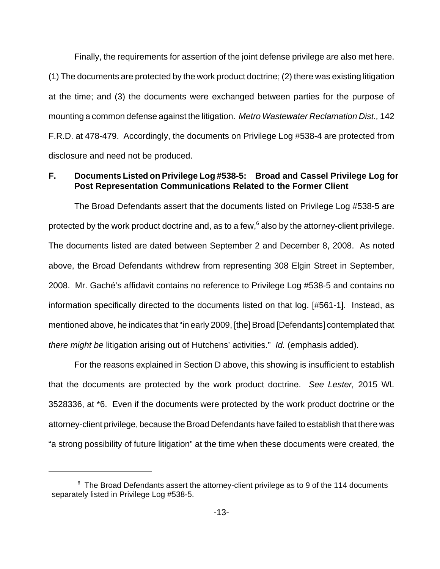Finally, the requirements for assertion of the joint defense privilege are also met here. (1) The documents are protected by the work product doctrine; (2) there was existing litigation at the time; and (3) the documents were exchanged between parties for the purpose of mounting a common defense against the litigation. Metro Wastewater Reclamation Dist., 142 F.R.D. at 478-479. Accordingly, the documents on Privilege Log #538-4 are protected from disclosure and need not be produced.

## **F. Documents Listed on Privilege Log #538-5: Broad and Cassel Privilege Log for Post Representation Communications Related to the Former Client**

The Broad Defendants assert that the documents listed on Privilege Log #538-5 are protected by the work product doctrine and, as to a few, $6$  also by the attorney-client privilege. The documents listed are dated between September 2 and December 8, 2008. As noted above, the Broad Defendants withdrew from representing 308 Elgin Street in September, 2008. Mr. Gaché's affidavit contains no reference to Privilege Log #538-5 and contains no information specifically directed to the documents listed on that log. [#561-1]. Instead, as mentioned above, he indicates that "in early 2009, [the] Broad [Defendants] contemplated that there might be litigation arising out of Hutchens' activities." Id. (emphasis added).

For the reasons explained in Section D above, this showing is insufficient to establish that the documents are protected by the work product doctrine. See Lester, 2015 WL 3528336, at \*6. Even if the documents were protected by the work product doctrine or the attorney-client privilege, because the Broad Defendants have failed to establish that there was "a strong possibility of future litigation" at the time when these documents were created, the

 $6$  The Broad Defendants assert the attorney-client privilege as to 9 of the 114 documents separately listed in Privilege Log #538-5.